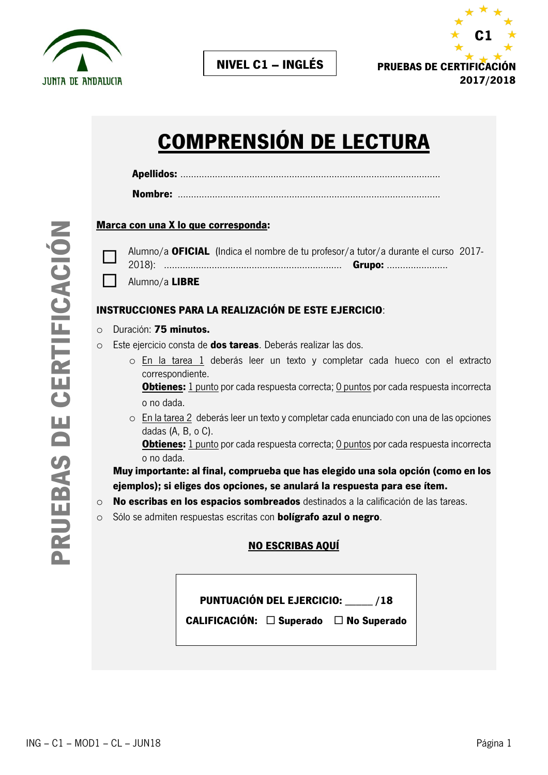



# **COMPRENSIÓN DE LECTURA**

**Nombre:** ...................................................................................................

#### **Marca con una X lo que corresponda:**



### **INSTRUCCIONES PARA LA REALIZACIÓN DE ESTE EJERCICIO**:

- o Duración: **75 minutos.**
- o Este ejercicio consta de **dos tareas**. Deberás realizar las dos.
	- o En la tarea 1 deberás leer un texto y completar cada hueco con el extracto correspondiente.

**Obtienes:** 1 punto por cada respuesta correcta; 0 puntos por cada respuesta incorrecta o no dada.

o En la tarea 2 deberás leer un texto y completar cada enunciado con una de las opciones dadas (A, B, o C).

**Obtienes:** 1 punto por cada respuesta correcta; 0 puntos por cada respuesta incorrecta o no dada.

**Muy importante: al final, comprueba que has elegido una sola opción (como en los ejemplos); si eliges dos opciones, se anulará la respuesta para ese ítem.**

- o **No escribas en los espacios sombreados** destinados a la calificación de las tareas.
- o Sólo se admiten respuestas escritas con **bolígrafo azul o negro**.

### **NO ESCRIBAS AQUÍ**

**PUNTUACIÓN DEL EJERCICIO:** \_\_\_\_\_ **/18**

**CALIFICACIÓN: Superado No Superado**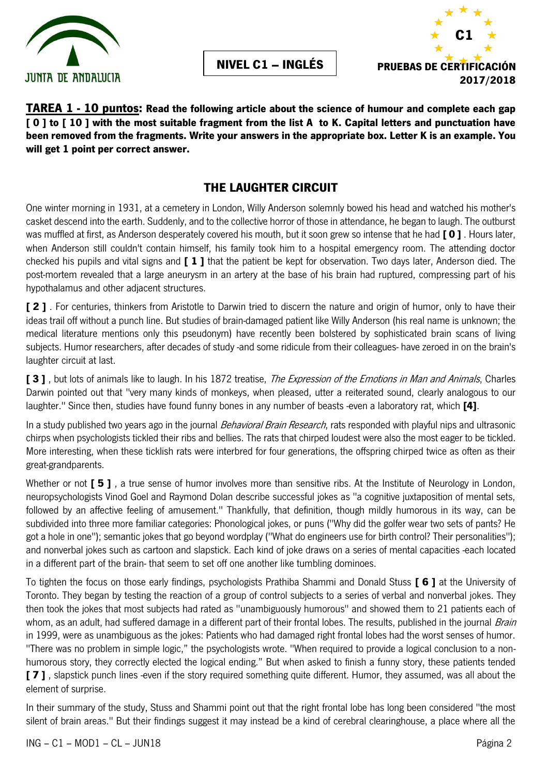

**NIVEL C1 – INGLÉS**



**TAREA 1 - 10 puntos: Read the following article about the science of humour and complete each gap [ 0 ] to [ 10 ] with the most suitable fragment from the list A to K. Capital letters and punctuation have been removed from the fragments. Write your answers in the appropriate box. Letter K is an example. You will get 1 point per correct answer.**

# **THE LAUGHTER CIRCUIT**

One winter morning in 1931, at a cemetery in London, Willy Anderson solemnly bowed his head and watched his mother's casket descend into the earth. Suddenly, and to the collective horror of those in attendance, he began to laugh. The outburst was muffled at first, as Anderson desperately covered his mouth, but it soon grew so intense that he had **[ 0 ]** . Hours later, when Anderson still couldn't contain himself, his family took him to a hospital emergency room. The attending doctor checked his pupils and vital signs and **[ 1 ]** that the patient be kept for observation. Two days later, Anderson died. The post-mortem revealed that a large aneurysm in an artery at the base of his brain had ruptured, compressing part of his hypothalamus and other adjacent structures.

**[ 2 ]** . For centuries, thinkers from Aristotle to Darwin tried to discern the nature and origin of humor, only to have their ideas trail off without a punch line. But studies of brain-damaged patient like Willy Anderson (his real name is unknown; the medical literature mentions only this pseudonym) have recently been bolstered by sophisticated brain scans of living subjects. Humor researchers, after decades of study -and some ridicule from their colleagues- have zeroed in on the brain's laughter circuit at last.

**[ 3 ]** , but lots of animals like to laugh. In his 1872 treatise, The Expression of the Emotions in Man and Animals, Charles Darwin pointed out that "very many kinds of monkeys, when pleased, utter a reiterated sound, clearly analogous to our laughter." Since then, studies have found funny bones in any number of beasts -even a laboratory rat, which **[4]**.

In a study published two years ago in the journal *Behavioral Brain Research*, rats responded with playful nips and ultrasonic chirps when psychologists tickled their ribs and bellies. The rats that chirped loudest were also the most eager to be tickled. More interesting, when these ticklish rats were interbred for four generations, the offspring chirped twice as often as their great-grandparents.

Whether or not **[5]**, a true sense of humor involves more than sensitive ribs. At the Institute of Neurology in London, neuropsychologists Vinod Goel and Raymond Dolan describe successful jokes as "a cognitive juxtaposition of mental sets, followed by an affective feeling of amusement." Thankfully, that definition, though mildly humorous in its way, can be subdivided into three more familiar categories: Phonological jokes, or puns ("Why did the golfer wear two sets of pants? He got a hole in one"); semantic jokes that go beyond wordplay ("What do engineers use for birth control? Their personalities"); and nonverbal jokes such as cartoon and slapstick. Each kind of joke draws on a series of mental capacities -each located in a different part of the brain- that seem to set off one another like tumbling dominoes.

To tighten the focus on those early findings, psychologists Prathiba Shammi and Donald Stuss **[ 6 ]** at the University of Toronto. They began by testing the reaction of a group of control subjects to a series of verbal and nonverbal jokes. They then took the jokes that most subjects had rated as "unambiguously humorous" and showed them to 21 patients each of whom, as an adult, had suffered damage in a different part of their frontal lobes. The results, published in the journal *Brain* in 1999, were as unambiguous as the jokes: Patients who had damaged right frontal lobes had the worst senses of humor. "There was no problem in simple logic," the psychologists wrote. "When required to provide a logical conclusion to a nonhumorous story, they correctly elected the logical ending." But when asked to finish a funny story, these patients tended **[ 7 ]** , slapstick punch lines -even if the story required something quite different. Humor, they assumed, was all about the element of surprise.

In their summary of the study, Stuss and Shammi point out that the right frontal lobe has long been considered "the most silent of brain areas." But their findings suggest it may instead be a kind of cerebral clearinghouse, a place where all the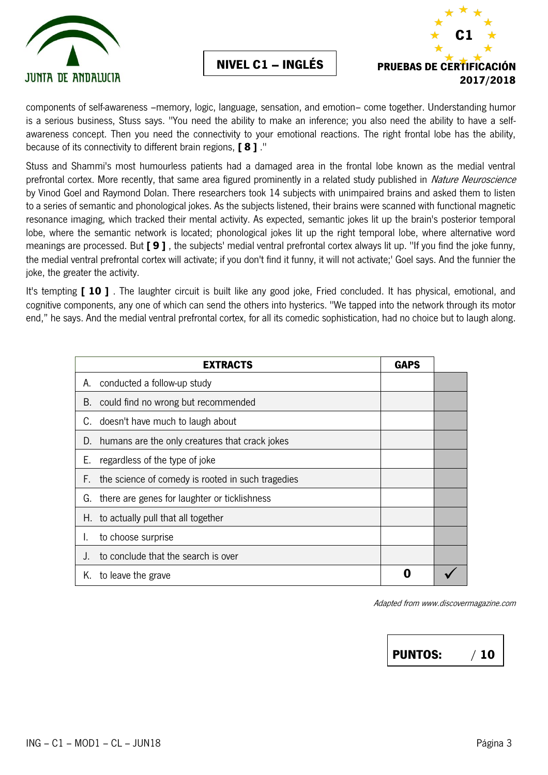



components of self-awareness –memory, logic, language, sensation, and emotion– come together. Understanding humor is a serious business, Stuss says. "You need the ability to make an inference; you also need the ability to have a selfawareness concept. Then you need the connectivity to your emotional reactions. The right frontal lobe has the ability, because of its connectivity to different brain regions, **[ 8 ]** ."

Stuss and Shammi's most humourless patients had a damaged area in the frontal lobe known as the medial ventral prefrontal cortex. More recently, that same area figured prominently in a related study published in *Nature Neuroscience* by Vinod Goel and Raymond Dolan. There researchers took 14 subjects with unimpaired brains and asked them to listen to a series of semantic and phonological jokes. As the subjects listened, their brains were scanned with functional magnetic resonance imaging, which tracked their mental activity. As expected, semantic jokes lit up the brain's posterior temporal lobe, where the semantic network is located; phonological jokes lit up the right temporal lobe, where alternative word meanings are processed. But **[ 9 ]** , the subjects' medial ventral prefrontal cortex always lit up. "If you find the joke funny, the medial ventral prefrontal cortex will activate; if you don't find it funny, it will not activate;' Goel says. And the funnier the joke, the greater the activity.

It's tempting **[ 10 ]** . The laughter circuit is built like any good joke, Fried concluded. It has physical, emotional, and cognitive components, any one of which can send the others into hysterics. "We tapped into the network through its motor end," he says. And the medial ventral prefrontal cortex, for all its comedic sophistication, had no choice but to laugh along.

| <b>EXTRACTS</b>                                      | GAPS |  |
|------------------------------------------------------|------|--|
| A. conducted a follow-up study                       |      |  |
| B. could find no wrong but recommended               |      |  |
| C. doesn't have much to laugh about                  |      |  |
| D. humans are the only creatures that crack jokes    |      |  |
| regardless of the type of joke<br>Е.                 |      |  |
| F. the science of comedy is rooted in such tragedies |      |  |
| G. there are genes for laughter or ticklishness      |      |  |
| H. to actually pull that all together                |      |  |
| to choose surprise<br>I.                             |      |  |
| to conclude that the search is over                  |      |  |
| to leave the grave<br>K.                             |      |  |

Adapted from www.discovermagazine.com

**PUNTOS:** / **10**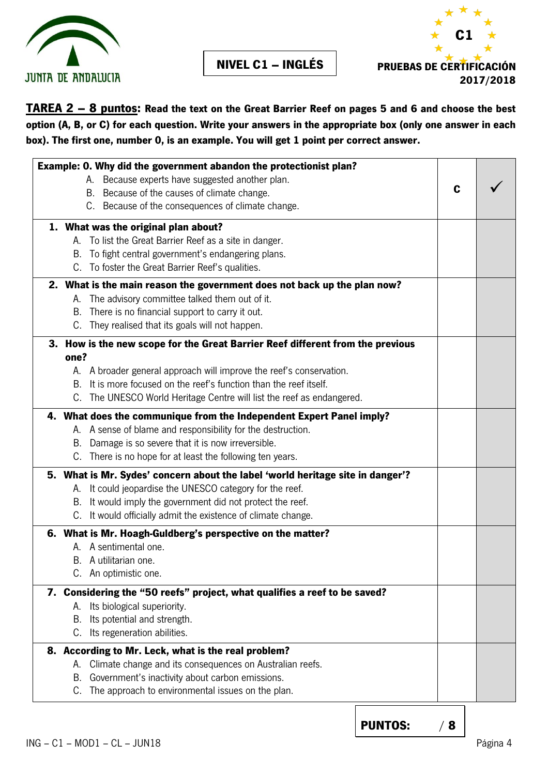



**NIVEL C1 – INGLÉS**

**2017/2018**

## **TAREA 2 – 8 puntos: Read the text on the Great Barrier Reef on pages 5 and 6 and choose the best option (A, B, or C) for each question. Write your answers in the appropriate box (only one answer in each box). The first one, number 0, is an example. You will get 1 point per correct answer.**

| Example: 0. Why did the government abandon the protectionist plan?                                                                                                                                                                                                                                           |   |  |
|--------------------------------------------------------------------------------------------------------------------------------------------------------------------------------------------------------------------------------------------------------------------------------------------------------------|---|--|
| A. Because experts have suggested another plan.<br>B. Because of the causes of climate change.<br>C. Because of the consequences of climate change.                                                                                                                                                          | C |  |
| 1. What was the original plan about?<br>A. To list the Great Barrier Reef as a site in danger.<br>B. To fight central government's endangering plans.<br>C. To foster the Great Barrier Reef's qualities.                                                                                                    |   |  |
| 2. What is the main reason the government does not back up the plan now?<br>A. The advisory committee talked them out of it.<br>B. There is no financial support to carry it out.<br>C. They realised that its goals will not happen.                                                                        |   |  |
| 3. How is the new scope for the Great Barrier Reef different from the previous<br>one?<br>A. A broader general approach will improve the reef's conservation.<br>B. It is more focused on the reef's function than the reef itself.<br>C. The UNESCO World Heritage Centre will list the reef as endangered. |   |  |
| 4. What does the communique from the Independent Expert Panel imply?<br>A. A sense of blame and responsibility for the destruction.<br>B. Damage is so severe that it is now irreversible.<br>C. There is no hope for at least the following ten years.                                                      |   |  |
| 5. What is Mr. Sydes' concern about the label 'world heritage site in danger'?<br>A. It could jeopardise the UNESCO category for the reef.<br>B. It would imply the government did not protect the reef.<br>C. It would officially admit the existence of climate change.                                    |   |  |
| 6. What is Mr. Hoagh-Guldberg's perspective on the matter?<br>A. A sentimental one.<br>B. A utilitarian one.<br>C. An optimistic one.                                                                                                                                                                        |   |  |
| 7. Considering the "50 reefs" project, what qualifies a reef to be saved?<br>Its biological superiority.<br>А.<br>B. Its potential and strength.<br>C. Its regeneration abilities.                                                                                                                           |   |  |
| 8. According to Mr. Leck, what is the real problem?<br>A. Climate change and its consequences on Australian reefs.<br>B. Government's inactivity about carbon emissions.<br>C. The approach to environmental issues on the plan.                                                                             |   |  |

**PUNTOS:** / **8**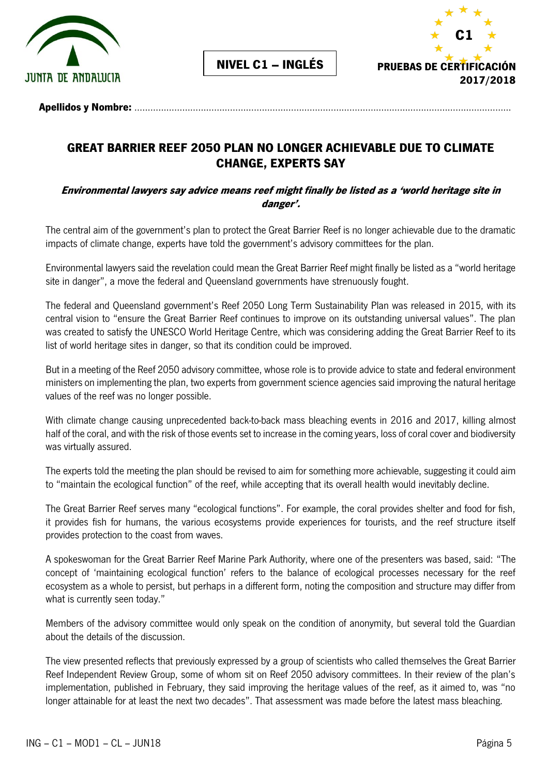



#### **Apellidos y Nombre:** ………………………………………………………………………….…………………………………………………

**NIVEL C1 – INGLÉS**

## **GREAT BARRIER REEF 2050 PLAN NO LONGER ACHIEVABLE DUE TO CLIMATE CHANGE, EXPERTS SAY**

**Environmental lawyers say advice means reef might finally be listed as a 'world heritage site in danger'.**

The central aim of the government's plan to protect the Great Barrier Reef is no longer achievable due to the dramatic impacts of climate change, experts have told the government's advisory committees for the plan.

Environmental lawyers said the revelation could mean the Great Barrier Reef might finally be listed as a "world heritage site in danger", a move the federal and Queensland governments have [strenuously fought.](https://www.theguardian.com/environment/2015/jul/02/great-barrier-reef-australia-says-unesco-decision-shows-it-is-a-world-leader)

The federal and Queensland government's Reef 2050 Long Term Sustainability Plan was released in 2015, with its central vision to "ensure the Great Barrier Reef continues to improve on its outstanding universal values". The plan was created to satisfy the UNESCO World Heritage Centre, which was considering adding the Great Barrier Reef to its list of world heritage sites in danger, so that its condition could be improved.

But in a meeting of the Reef 2050 advisory committee, whose role is to provide advice to state and federal environment ministers on implementing the plan, two experts from government science agencies said improving the natural heritage values of the reef was no longer possible.

With climate change causing unprecedented back-to-back mass bleaching events in [2016](https://www.theguardian.com/environment/2016/jun/03/agencies-say-22-of-barrier-reef-coral-is-dead-correcting-misinterpretation) and [2017,](https://www.theguardian.com/environment/2017/apr/10/great-barrier-reef-terminal-stage-australia-scientists-despair-latest-coral-bleaching-data) killing almost half of the coral, and with the risk of those events set to increase in the coming years, loss of coral cover and biodiversity was virtually assured.

The experts told the meeting the plan should be revised to aim for something more achievable, suggesting it could aim to "maintain the ecological function" of the reef, while accepting that its overall health would inevitably decline.

The Great Barrier Reef serves many "ecological functions". For example, the coral provides shelter and food for fish, it provides fish for humans, the various ecosystems provide experiences for tourists, and the reef structure itself provides protection to the coast from waves.

A spokeswoman for the Great Barrier Reef Marine Park Authority, where one of the presenters was based, said: "The concept of 'maintaining ecological function' refers to the balance of ecological processes necessary for the reef ecosystem as a whole to persist, but perhaps in a different form, noting the composition and structure may differ from what is currently seen today."

Members of the advisory committee would only speak on the condition of anonymity, but several told the Guardian about the details of the discussion.

The view presented reflects that previously expressed by a group of scientists who called themselves the Great Barrier Reef Independent Review Group, some of whom sit on Reef 2050 advisory committees. In their review of the plan's implementation, published in February, they said improving the heritage values of the reef, as it aimed to, was "no longer attainable for at least the next two decades". That assessment was made before the latest mass bleaching.